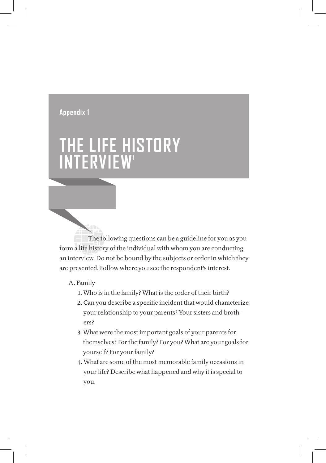# **appendix 1**

# **the liFe historY iNterview1**

 The following questions can be a guideline for you as you form a life history of the individual with whom you are conducting an interview. Do not be bound by the subjects or order in which they are presented. Follow where you see the respondent's interest.

### A. Family

- 1. Who is in the family? What is the order of their birth?
- 2. Can you describe a specific incident that would characterize your relationship to your parents? Your sisters and brothers?
- 3. What were the most important goals of your parents for themselves? For the family? For you? What are your goals for yourself? For your family?
- 4. What are some of the most memorable family occasions in your life? Describe what happened and why it is special to you.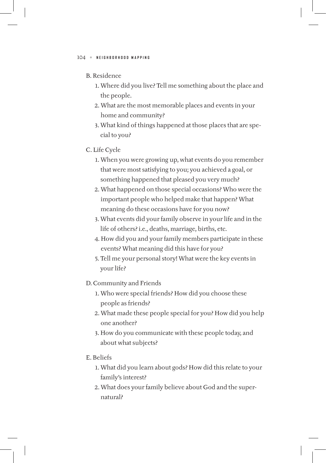### B. Residence

- 1. Where did you live? Tell me something about the place and the people.
- 2. What are the most memorable places and events in your home and community?
- 3. What kind of things happened at those places that are special to you?

#### C. Life Cycle

- 1. When you were growing up, what events do you remember that were most satisfying to you; you achieved a goal, or something happened that pleased you very much?
- 2. What happened on those special occasions? Who were the important people who helped make that happen? What meaning do these occasions have for you now?
- 3. What events did your family observe in your life and in the life of others? i.e., deaths, marriage, births, etc.
- 4. How did you and your family members participate in these events? What meaning did this have for you?
- 5. Tell me your personal story! What were the key events in your life?

#### D. Community and Friends

- 1. Who were special friends? How did you choose these people as friends?
- 2. What made these people special for you? How did you help one another?
- 3. How do you communicate with these people today, and about what subjects?

### E. Beliefs

- 1. What did you learn about gods? How did this relate to your family's interest?
- 2. What does your family believe about God and the supernatural?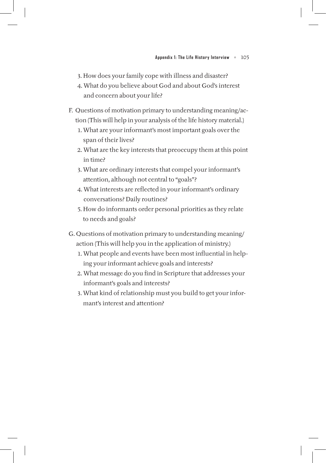- 3. How does your family cope with illness and disaster?
- 4. What do you believe about God and about God's interest and concern about your life?
- F. Questions of motivation primary to understanding meaning/action (This will help in your analysis of the life history material.)
	- 1. What are your informant's most important goals over the span of their lives?
	- 2. What are the key interests that preoccupy them at this point in time?
	- 3. What are ordinary interests that compel your informant's attention, although not central to "goals"?
	- 4. What interests are reflected in your informant's ordinary conversations? Daily routines?
	- 5. How do informants order personal priorities as they relate to needs and goals?
- G. Questions of motivation primary to understanding meaning/ action (This will help you in the application of ministry.)
	- 1. What people and events have been most influential in helping your informant achieve goals and interests?
	- 2. What message do you find in Scripture that addresses your informant's goals and interests?
	- 3. What kind of relationship must you build to get your informant's interest and attention?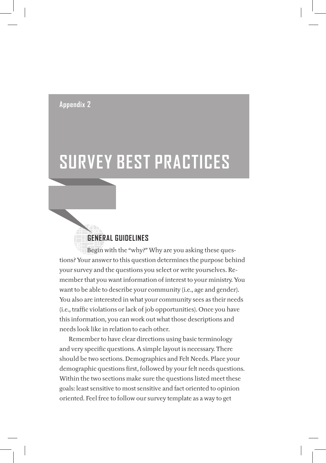## **appendix 2**

# **surveY best praCtiCes**

# **geNeral guideliNes**

 Begin with the "why?" Why are you asking these questions? Your answer to this question determines the purpose behind your survey and the questions you select or write yourselves. Remember that you want information of interest to your ministry. You want to be able to describe your community (i.e., age and gender). You also are interested in what your community sees as their needs (i.e., traffic violations or lack of job opportunities). Once you have this information, you can work out what those descriptions and needs look like in relation to each other.

Remember to have clear directions using basic terminology and very specific questions. A simple layout is necessary. There should be two sections. Demographics and Felt Needs. Place your demographic questions first, followed by your felt needs questions. Within the two sections make sure the questions listed meet these goals: least sensitive to most sensitive and fact oriented to opinion oriented. Feel free to follow our survey template as a way to get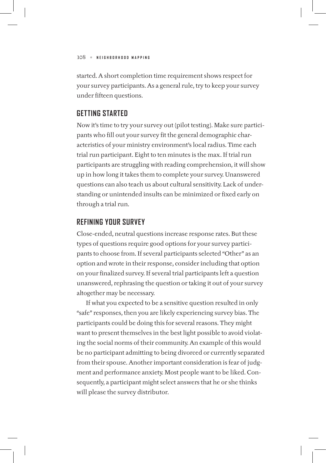started. A short completion time requirement shows respect for your survey participants. As a general rule, try to keep your survey under fifteen questions.

## **Getting Started**

Now it's time to try your survey out (pilot testing). Make sure participants who fill out your survey fit the general demographic characteristics of your ministry environment's local radius. Time each trial run participant. Eight to ten minutes is the max. If trial run participants are struggling with reading comprehension, it will show up in how long it takes them to complete your survey. Unanswered questions can also teach us about cultural sensitivity. Lack of understanding or unintended insults can be minimized or fixed early on through a trial run.

## **Refining Your Survey**

Close-ended, neutral questions increase response rates. But these types of questions require good options for your survey participants to choose from. If several participants selected "Other" as an option and wrote in their response, consider including that option on your finalized survey. If several trial participants left a question unanswered, rephrasing the question or taking it out of your survey altogether may be necessary.

If what you expected to be a sensitive question resulted in only "safe" responses, then you are likely experiencing survey bias. The participants could be doing this for several reasons. They might want to present themselves in the best light possible to avoid violating the social norms of their community. An example of this would be no participant admitting to being divorced or currently separated from their spouse. Another important consideration is fear of judgment and performance anxiety. Most people want to be liked. Consequently, a participant might select answers that he or she thinks will please the survey distributor.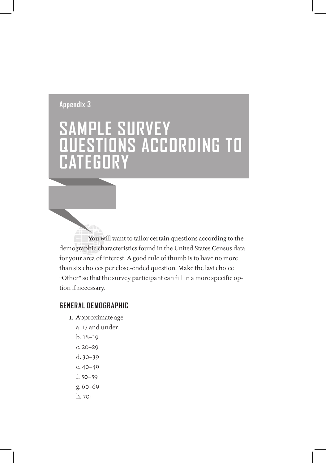# **appendix 3**

# **saMple surveY QuestioNs aCCordiNg to CategorY**

 You will want to tailor certain questions according to the demographic characteristics found in the United States Census data for your area of interest. A good rule of thumb is to have no more than six choices per close-ended question. Make the last choice "Other" so that the survey participant can fill in a more specific option if necessary.

## **geNeral deMographiC**

- 1. Approximate age
	- a. 17 and under
	- b. 18–19 c. 20–29
	-
	- d. 30–39 e. 40–49
	- f. 50–59
	- g. 60–69
	- h. 70+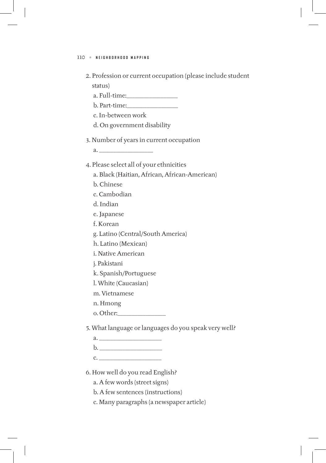2. Profession or current occupation (please include student status)

a. Full-time:\_\_\_\_\_\_\_\_\_\_\_\_\_\_\_\_\_\_

b. Part-time:\_\_\_\_\_\_\_\_\_\_\_\_\_\_\_\_\_\_

c. In-between work

d. On government disability

3. Number of years in current occupation

a. \_\_\_\_\_\_\_\_\_\_\_\_\_\_\_\_\_\_\_

4. Please select all of your ethnicities

a. Black (Haitian, African, African-American)

- b. Chinese
- c. Cambodian
- d. Indian

e. Japanese

f. Korean

g. Latino (Central/South America)

h. Latino (Mexican)

i. Native American

j. Pakistani

k. Spanish/Portuguese

l. White (Caucasian)

m. Vietnamese

n. Hmong

o. Other:\_\_\_\_\_\_\_\_\_\_\_\_\_\_\_\_\_

5. What language or languages do you speak very well?

a. \_\_\_\_\_\_\_\_\_\_\_\_\_\_\_\_\_\_\_\_\_\_

 $\mathbf{b}$ .  $\blacksquare$ 

c. \_\_\_\_\_\_\_\_\_\_\_\_\_\_\_\_\_\_\_\_\_\_

6. How well do you read English?

a. A few words (street signs)

b. A few sentences (instructions)

c. Many paragraphs (a newspaper article)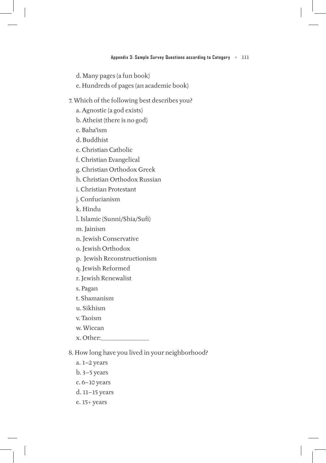d. Many pages (a fun book)

e. Hundreds of pages (an academic book)

### 7. Which of the following best describes you?

a. Agnostic (a god exists)

b. Atheist (there is no god)

c. Baha'ism

d. Buddhist

e. Christian Catholic

f. Christian Evangelical

g. Christian Orthodox Greek

h. Christian Orthodox Russian

i. Christian Protestant

j. Confucianism

k. Hindu

l. Islamic (Sunni/Shia/Sufi)

m. Jainism

n. Jewish Conservative

o. Jewish Orthodox

p. Jewish Reconstructionism

q. Jewish Reformed

r. Jewish Renewalist

s. Pagan

t. Shamanism

u. Sikhism

v. Taoism

w. Wiccan

x. Other:\_\_\_\_\_\_\_\_\_\_\_\_\_\_\_\_\_

8. How long have you lived in your neighborhood?

- a. 1–2 years
- b. 3–5 years
- c. 6–10 years
- d. 11–15 years
- e. 15+ years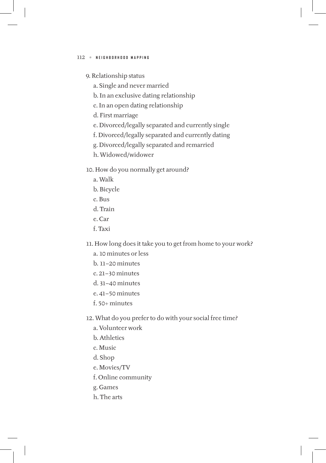- 9. Relationship status
	- a. Single and never married
	- b. In an exclusive dating relationship
	- c. In an open dating relationship
	- d. First marriage
	- e. Divorced/legally separated and currently single
	- f. Divorced/legally separated and currently dating
	- g. Divorced/legally separated and remarried
	- h. Widowed/widower
- 10. How do you normally get around?
	- a. Walk
	- b. Bicycle
	- c. Bus
	- d. Train
	- e. Car
	- f. Taxi
- 11. How long does it take you to get from home to your work?
	- a. 10 minutes or less
	- b. 11–20 minutes
	- c. 21–30 minutes
	- d. 31–40 minutes
	- e. 41–50 minutes
	- $f$ . 50+ minutes
- 12. What do you prefer to do with your social free time?
	- a. Volunteer work
	- b. Athletics
	- c. Music
	- d. Shop
	- e. Movies/TV
	- f. Online community
	- g. Games
	- h. The arts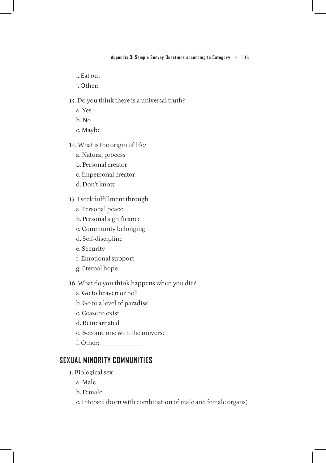- i. Eat out
- j. Other:\_\_\_\_\_\_\_\_\_\_\_\_\_\_\_\_

13. Do you think there is a universal truth?

- a. Yes
- b. No
- c. Maybe
- 14. What is the origin of life?
	- a. Natural process
	- b. Personal creator
	- c. Impersonal creator
	- d. Don't know
- 15. I seek fulfillment through
	- a. Personal peace
	- b. Personal significance
	- c. Community belonging
	- d. Self-discipline
	- e. Security
	- f. Emotional support
	- g. Eternal hope

16. What do you think happens when you die?

- a. Go to heaven or hell
- b. Go to a level of paradise
- c. Cease to exist
- d. Reincarnated
- e. Become one with the universe
- f. Other:\_\_\_\_\_\_\_\_\_\_\_\_\_\_\_

## **Sexual Minority Communities**

- 1. Biological sex
	- a. Male
	- b. Female
	- c. Intersex (born with combination of male and female organs)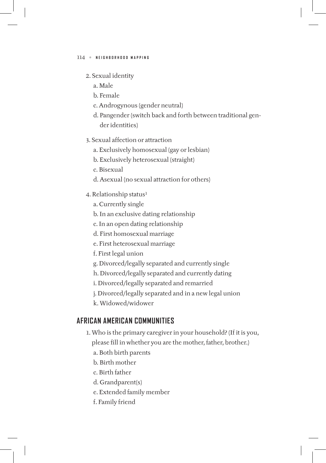## 2. Sexual identity

- a. Male
- b. Female
- c. Androgynous (gender neutral)
- d. Pangender (switch back and forth between traditional gender identities)
- 3. Sexual affection or attraction
	- a. Exclusively homosexual (gay or lesbian)
	- b. Exclusively heterosexual (straight)
	- c. Bisexual
	- d. Asexual (no sexual attraction for others)
- 4. Relationship status<sup>1</sup>
	- a. Currently single
	- b. In an exclusive dating relationship
	- c. In an open dating relationship
	- d. First homosexual marriage
	- e. First heterosexual marriage
	- f. First legal union
	- g. Divorced/legally separated and currently single
	- h. Divorced/legally separated and currently dating
	- i. Divorced/legally separated and remarried
	- j. Divorced/legally separated and in a new legal union
	- k. Widowed/widower

# **African American Communities**

- 1. Who is the primary caregiver in your household? (If it is you, please fill in whether you are the mother, father, brother.)
	- a. Both birth parents
	- b. Birth mother
	- c. Birth father
	- d. Grandparent(s)
	- e. Extended family member
	- f. Family friend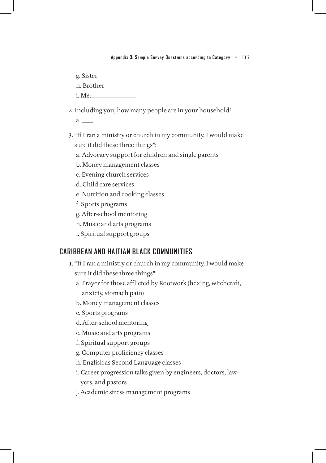g. Sister

h. Brother

i. Me:\_\_\_\_\_\_\_\_\_\_\_\_\_\_\_\_

2. Including you, how many people are in your household?

a. \_\_\_\_

- 3. "If I ran a ministry or church in my community, I would make sure it did these three things":
	- a. Advocacy support for children and single parents
	- b. Money management classes
	- c. Evening church services
	- d. Child care services
	- e. Nutrition and cooking classes
	- f. Sports programs
	- g. After-school mentoring
	- h. Music and arts programs
	- i. Spiritual support groups

# **Caribbean and Haitian Black Communities**

- 1. "If I ran a ministry or church in my community, I would make sure it did these three things":
	- a. Prayer for those afflicted by Rootwork (hexing, witchcraft, anxiety, stomach pain)
	- b. Money management classes
	- c. Sports programs
	- d. After-school mentoring
	- e. Music and arts programs
	- f. Spiritual support groups
	- g. Computer proficiency classes
	- h. English as Second Language classes
	- i. Career progression talks given by engineers, doctors, lawyers, and pastors
	- j. Academic stress management programs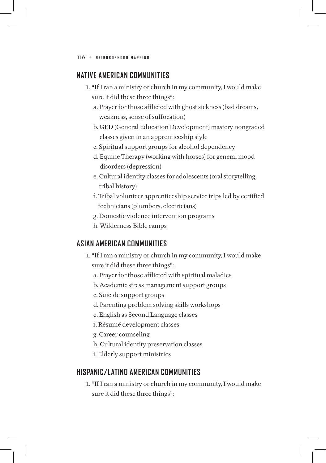# **Native American Communities**

- 1. "If I ran a ministry or church in my community, I would make sure it did these three things":
	- a. Prayer for those afflicted with ghost sickness (bad dreams, weakness, sense of suffocation)
	- b. GED (General Education Development) mastery nongraded classes given in an apprenticeship style
	- c. Spiritual support groups for alcohol dependency
	- d. Equine Therapy (working with horses) for general mood disorders (depression)
	- e. Cultural identity classes for adolescents (oral storytelling, tribal history)
	- f. Tribal volunteer apprenticeship service trips led by certified technicians (plumbers, electricians)
	- g. Domestic violence intervention programs
	- h. Wilderness Bible camps

# **Asian American Communities**

- 1. "If I ran a ministry or church in my community, I would make sure it did these three things":
	- a. Prayer for those afflicted with spiritual maladies
	- b. Academic stress management support groups
	- c. Suicide support groups
	- d. Parenting problem solving skills workshops
	- e. English as Second Language classes
	- f. Résumé development classes
	- g. Career counseling
	- h. Cultural identity preservation classes
	- i. Elderly support ministries

# **Hispanic/Latino American Communities**

1. "If I ran a ministry or church in my community, I would make sure it did these three things":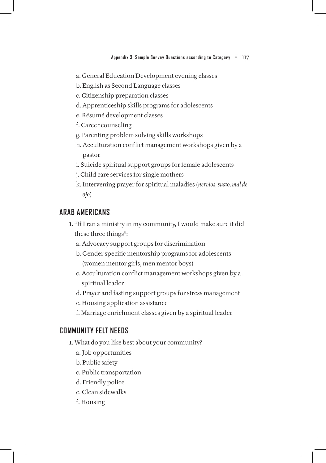- a. General Education Development evening classes
- b. English as Second Language classes
- c. Citizenship preparation classes
- d. Apprenticeship skills programs for adolescents
- e. Résumé development classes
- f. Career counseling
- g. Parenting problem solving skills workshops
- h. Acculturation conflict management workshops given by a pastor
- i. Suicide spiritual support groups for female adolescents
- j. Child care services for single mothers
- k. Intervening prayer for spiritual maladies (*nervios, susto, mal de ojo*)

## **Arab Americans**

- 1. "If I ran a ministry in my community, I would make sure it did these three things":
	- a. Advocacy support groups for discrimination
	- b. Gender specific mentorship programs for adolescents (women mentor girls, men mentor boys)
	- c. Acculturation conflict management workshops given by a spiritual leader
	- d. Prayer and fasting support groups for stress management
	- e. Housing application assistance
	- f. Marriage enrichment classes given by a spiritual leader

## **Community Felt Needs**

- 1. What do you like best about your community?
	- a. Job opportunities
	- b. Public safety
	- c. Public transportation
	- d. Friendly police
	- e. Clean sidewalks
	- f. Housing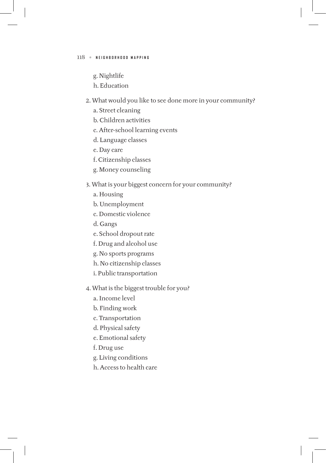- g. Nightlife
- h. Education
- 2. What would you like to see done more in your community?
	- a. Street cleaning
	- b. Children activities
	- c. After-school learning events
	- d. Language classes
	- e. Day care
	- f. Citizenship classes
	- g. Money counseling

### 3. What is your biggest concern for your community?

- a. Housing
- b. Unemployment
- c. Domestic violence
- d. Gangs
- e. School dropout rate
- f. Drug and alcohol use
- g. No sports programs
- h. No citizenship classes
- i. Public transportation
- 4. What is the biggest trouble for you?
	- a. Income level
	- b. Finding work
	- c. Transportation
	- d. Physical safety
	- e. Emotional safety
	- f. Drug use
	- g. Living conditions
	- h. Access to health care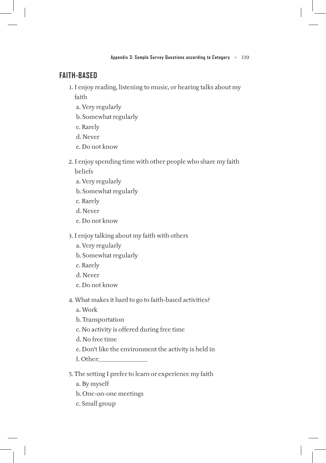## **Faith-based**

1. I enjoy reading, listening to music, or hearing talks about my

faith

- a. Very regularly
- b. Somewhat regularly
- c. Rarely
- d. Never
- e. Do not know
- 2. I enjoy spending time with other people who share my faith beliefs
	- a. Very regularly
	- b. Somewhat regularly
	- c. Rarely
	- d. Never
	- e. Do not know

3. I enjoy talking about my faith with others

- a. Very regularly
- b. Somewhat regularly
- c. Rarely
- d. Never
- e. Do not know

4. What makes it hard to go to faith-based activities?

- a. Work
- b. Transportation
- c. No activity is offered during free time
- d. No free time
- e. Don't like the environment the activity is held in
- f. Other:\_\_\_\_\_\_\_\_\_\_\_\_\_\_\_\_\_
- 5. The setting I prefer to learn or experience my faith
	- a. By myself
	- b. One-on-one meetings
	- c. Small group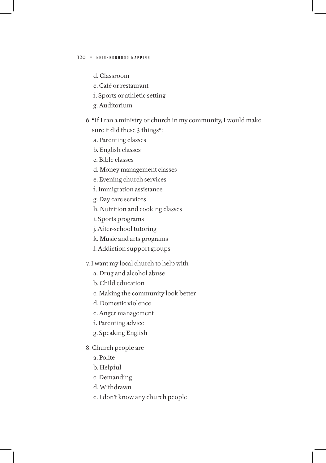- d. Classroom
- e. Café or restaurant
- f. Sports or athletic setting
- g. Auditorium
- 6. "If I ran a ministry or church in my community, I would make sure it did these 3 things":
	- a. Parenting classes
	- b. English classes
	- c. Bible classes
	- d. Money management classes
	- e. Evening church services
	- f. Immigration assistance
	- g. Day care services
	- h. Nutrition and cooking classes
	- i. Sports programs
	- j. After-school tutoring
	- k. Music and arts programs
	- l. Addiction support groups
- 7. I want my local church to help with
	- a. Drug and alcohol abuse
	- b. Child education
	- c. Making the community look better
	- d. Domestic violence
	- e. Anger management
	- f. Parenting advice
	- g. Speaking English
- 8. Church people are
	- a. Polite
	- b. Helpful
	- c. Demanding
	- d. Withdrawn
	- e. I don't know any church people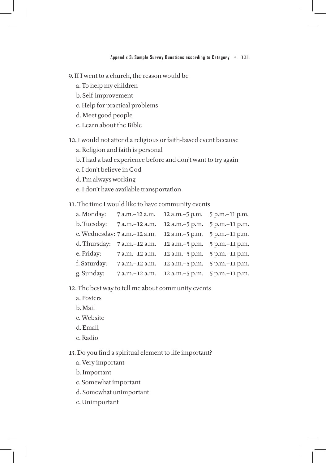9. If I went to a church, the reason would be

- a. To help my children
- b. Self-improvement
- c. Help for practical problems
- d. Meet good people
- e. Learn about the Bible

10. I would not attend a religious or faith-based event because

- a. Religion and faith is personal
- b. I had a bad experience before and don't want to try again
- c. I don't believe in God
- d. I'm always working
- e. I don't have available transportation
- 11. The time I would like to have community events

| a. Monday:   | 7 a.m.-12 a.m.                                                  | 12 a.m. - 5 p.m. 5 p.m. - 11 p.m. |                |
|--------------|-----------------------------------------------------------------|-----------------------------------|----------------|
| b. Tuesday:  | 7 a.m.-12 a.m.                                                  | 12 a.m.-5 p.m.                    | 5 p.m.-11 p.m. |
|              | c. Wednesday: 7 a.m. - 12 a.m.                                  | 12 a.m. - 5 p.m. 5 p.m. - 11 p.m. |                |
|              | d. Thursday: 7 a.m. - 12 a.m. 12 a.m. - 5 p.m. 5 p.m. - 11 p.m. |                                   |                |
| e. Friday:   | 7 a.m. -12 a.m. 12 a.m. -5 p.m. 5 p.m. -11 p.m.                 |                                   |                |
| f. Saturday: | 7 a.m. -12 a.m. 12 a.m. -5 p.m. 5 p.m. -11 p.m.                 |                                   |                |
| g. Sunday:   | 7 a.m. -12 a.m. 12 a.m. -5 p.m. 5 p.m. -11 p.m.                 |                                   |                |

- 12. The best way to tell me about community events
	- a. Posters
	- b. Mail
	- c. Website
	- d. Email
	- e. Radio

13. Do you find a spiritual element to life important?

- a. Very important
- b. Important
- c. Somewhat important
- d. Somewhat unimportant
- e. Unimportant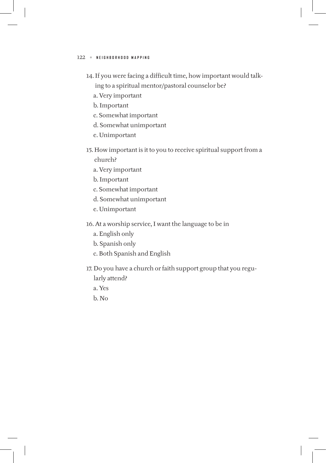- 14. If you were facing a difficult time, how important would talking to a spiritual mentor/pastoral counselor be?
	- a. Very important
	- b. Important
	- c. Somewhat important
	- d. Somewhat unimportant
	- e. Unimportant
- 15. How important is it to you to receive spiritual support from a church?
	- a. Very important
	- b. Important
	- c. Somewhat important
	- d. Somewhat unimportant
	- e. Unimportant
- 16. At a worship service, I want the language to be in
	- a. English only
	- b. Spanish only
	- c. Both Spanish and English
- 17. Do you have a church or faith support group that you regu
	- larly attend?
	- a. Yes
	- b. No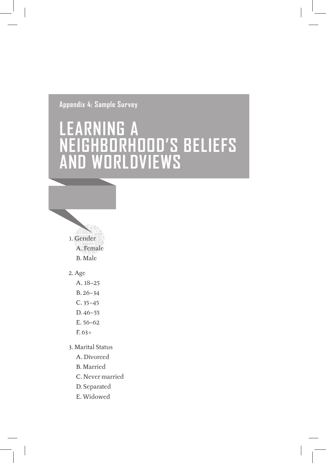**appendix 4: sample survey**

# LEARNING A **Neighborhood's belieFs aNd worldviews**



### 2. Age

A. 18–25

B. 26–34

- C. 35–45
- D. 46–55
- E. 56–62
- F. 63+
- 3. Marital Status
	- A. Divorced
	- B. Married
	- C. Never married
	- D. Separated
	- E. Widowed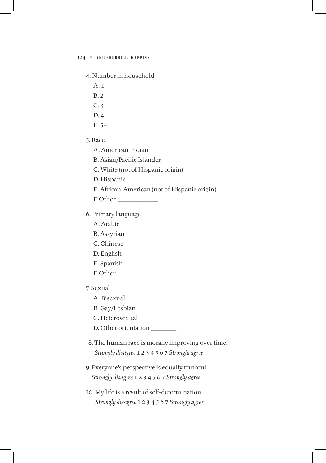#### 4. Number in household

- A. 1
- B. 2
- C. 3
- D. 4
- $E. 5+$
- 5. Race
	- A. American Indian
	- B. Asian/Pacific Islander
	- C. White (not of Hispanic origin)
	- D. Hispanic
	- E. African-American (not of Hispanic origin)
	- F. Other \_\_\_\_\_\_\_\_\_\_\_\_\_\_
- 6. Primary language
	- A. Arabic
	- B. Assyrian
	- C. Chinese
	- D. English
	- E. Spanish
	- F. Other
- 7. Sexual
	- A. Bisexual
	- B. Gay/Lesbian
	- C. Heterosexual
	- D. Other orientation \_\_\_\_\_\_\_\_\_
- 8. The human race is morally improving over time. *Strongly disagree* 1 2 3 4 5 6 7 *Strongly agree*
- 9. Everyone's perspective is equally truthful. *Strongly disagree* 1 2 3 4 5 6 7 *Strongly agree*
- 10. My life is a result of self-determination. *Strongly disagree* 1 2 3 4 5 6 7 *Strongly agree*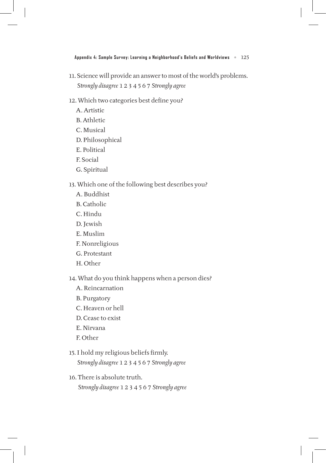11. Science will provide an answer to most of the world's problems. *Strongly disagree* 1 2 3 4 5 6 7 *Strongly agree*

#### 12. Which two categories best define you?

- A. Artistic
- B. Athletic
- C. Musical
- D. Philosophical
- E. Political
- F. Social
- G. Spiritual

#### 13. Which one of the following best describes you?

- A. Buddhist
- B. Catholic
- C. Hindu
- D. Jewish
- E. Muslim
- F. Nonreligious
- G. Protestant
- H. Other

### 14. What do you think happens when a person dies?

- A. Reincarnation
- B. Purgatory
- C. Heaven or hell
- D. Cease to exist
- E. Nirvana
- F. Other

## 15. I hold my religious beliefs firmly. *Strongly disagree* 1 2 3 4 5 6 7 *Strongly agree*

16. There is absolute truth. *Strongly disagree* 1 2 3 4 5 6 7 *Strongly agree*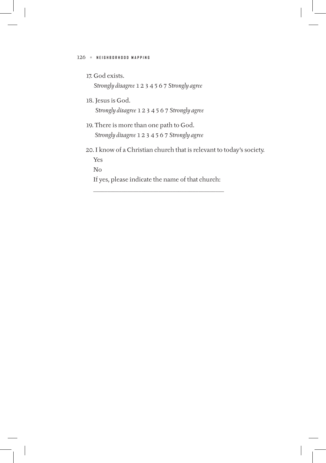17. God exists.

*Strongly disagree* 1 2 3 4 5 6 7 *Strongly agree*

18. Jesus is God.

*Strongly disagree* 1 2 3 4 5 6 7 *Strongly agree*

- 19. There is more than one path to God. *Strongly disagree* 1 2 3 4 5 6 7 *Strongly agree*
- 20. I know of a Christian church that is relevant to today's society. Yes

No

 If yes, please indicate the name of that church: \_\_\_\_\_\_\_\_\_\_\_\_\_\_\_\_\_\_\_\_\_\_\_\_\_\_\_\_\_\_\_\_\_\_\_\_\_\_\_\_\_\_\_\_\_\_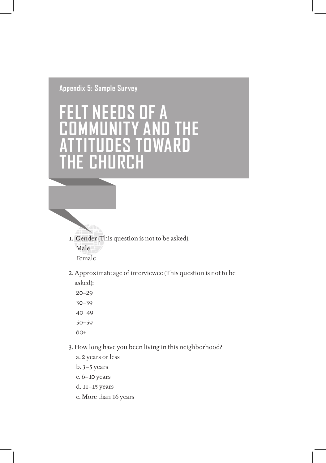# **appendix 5: sample survey**

# **Felt Needs oF a AND THE<br>OWARD** ES TOWARD<br>IRCH **the ChurCh**

- 1. Gender (This question is not to be asked): Male Female
- 2. Approximate age of interviewee (This question is not to be
	- asked): 20–29 30–39 40–49 50–59  $60+$

 $\mathbb{Z}$ 

- 3. How long have you been living in this neighborhood?
	- a. 2 years or less
	- b. 3–5 years
	- c. 6–10 years
	- d. 11–15 years
	- e. More than 16 years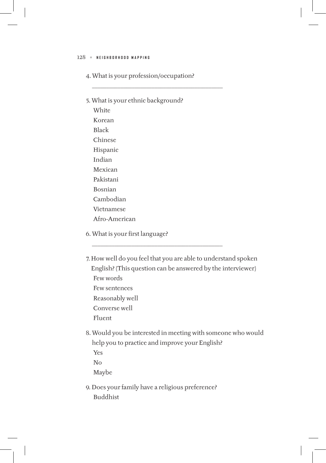4. What is your profession/occupation?

\_\_\_\_\_\_\_\_\_\_\_\_\_\_\_\_\_\_\_\_\_\_\_\_\_\_\_\_\_\_\_\_\_\_\_\_\_\_\_\_\_\_\_\_\_\_

- 5. What is your ethnic background? **White** Korean Black Chinese Hispanic Indian Mexican Pakistani Bosnian Cambodian Vietnamese Afro-American
- 6. What is your first language?
- 7. How well do you feel that you are able to understand spoken English? (This question can be answered by the interviewer) Few words Few sentences Reasonably well Converse well Fluent

\_\_\_\_\_\_\_\_\_\_\_\_\_\_\_\_\_\_\_\_\_\_\_\_\_\_\_\_\_\_\_\_\_\_\_\_\_\_\_\_\_\_\_\_\_\_

- 8. Would you be interested in meeting with someone who would help you to practice and improve your English? Yes No Maybe
- 9. Does your family have a religious preference? Buddhist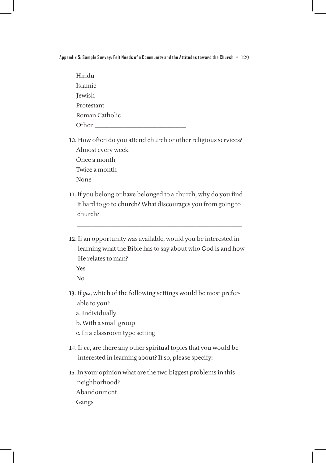**Appendix 5: Sample Survey: Felt Needs of a Community and the Attitudes toward the Church** • 129

| Hindu          |  |  |  |
|----------------|--|--|--|
| <b>Islamic</b> |  |  |  |
| Jewish         |  |  |  |
| Protestant     |  |  |  |
| Roman Catholic |  |  |  |
| Other          |  |  |  |

10. How often do you attend church or other religious services? Almost every week Once a month Twice a month None

- 11. If you belong or have belonged to a church, why do you find it hard to go to church? What discourages you from going to church?
- 12. If an opportunity was available, would you be interested in learning what the Bible has to say about who God is and how He relates to man?

\_\_\_\_\_\_\_\_\_\_\_\_\_\_\_\_\_\_\_\_\_\_\_\_\_\_\_\_\_\_\_\_\_\_\_\_\_\_\_\_\_\_\_\_\_\_\_\_\_\_\_\_\_\_\_\_\_\_

Yes

No

- 13. If *yes*, which of the following settings would be most preferable to you?
	- a. Individually
	- b. With a small group
	- c. In a classroom type setting
- 14. If *no*, are there any other spiritual topics that you would be interested in learning about? If so, please specify:
- 15. In your opinion what are the two biggest problems in this neighborhood? Abandonment Gangs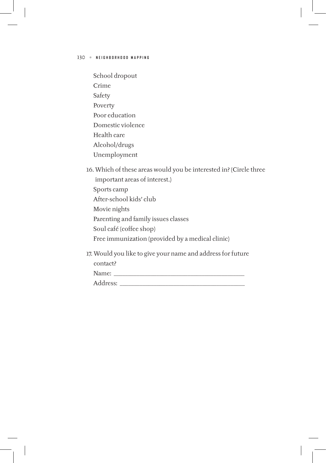- School dropout Crime Safety Poverty Poor education Domestic violence Health care Alcohol/drugs Unemployment
- 16. Which of these areas would you be interested in? (Circle three important areas of interest.) Sports camp After-school kids' club Movie nights Parenting and family issues classes Soul café (coffee shop) Free immunization (provided by a medical clinic)
- 17. Would you like to give your name and address for future

| Name:                               |  |  |
|-------------------------------------|--|--|
| dress:<br>$\mathbf{u}$ $\mathbf{v}$ |  |  |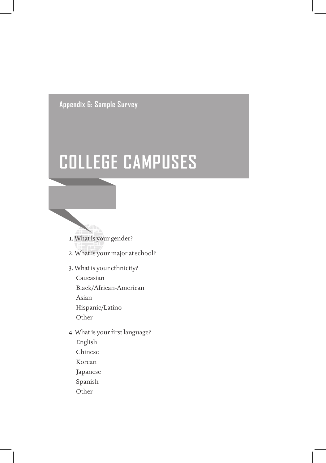**appendix 6: sample survey**

# **College CaMpuses**



- 2. What is your major at school?
- 3. What is your ethnicity?
	- Caucasian Black/African-American Asian Hispanic/Latino **Other**
- 4. What is your first language? English Chinese Korean
	- Japanese
	- Spanish
	- Other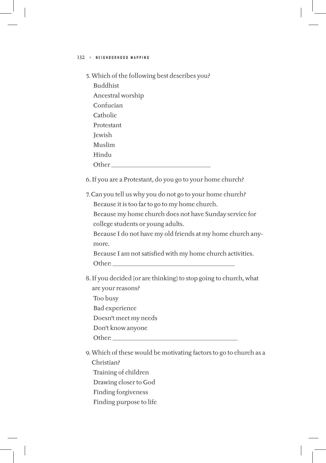5. Which of the following best describes you?

Buddhist Ancestral worship Confucian Catholic Protestant Jewish Muslim Hindu Other  $\Box$ 

6. If you are a Protestant, do you go to your home church?

7. Can you tell us why you do not go to your home church? Because it is too far to go to my home church.

 Because my home church does not have Sunday service for college students or young adults.

 Because I do not have my old friends at my home church anymore.

Because I am not satisfied with my home church activities. Other:

- 8. If you decided (or are thinking) to stop going to church, what are your reasons?
	- Too busy Bad experience

Doesn't meet my needs

Don't know anyone

Other:

9. Which of these would be motivating factors to go to church as a Christian?

Training of children

Drawing closer to God

- Finding forgiveness
- Finding purpose to life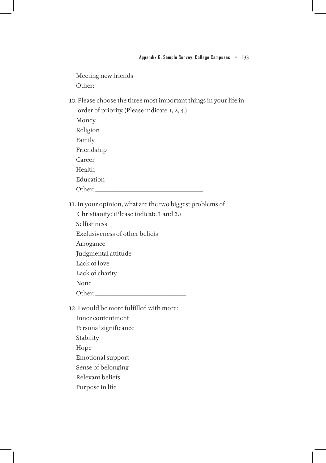Meeting new friends Other: \_\_\_\_\_\_\_\_\_\_\_\_\_\_\_\_\_\_\_\_\_\_\_\_\_\_\_\_\_\_\_\_\_\_\_\_\_\_\_\_\_\_\_

10. Please choose the three most important things in your life in order of priority. (Please indicate 1, 2, 3.) Money Religion Family Friendship Career Health Education Other:

11. In your opinion, what are the two biggest problems of

Christianity? (Please indicate 1 and 2.)

Selfishness

Exclusiveness of other beliefs

Arrogance

Judgmental attitude

Lack of love

Lack of charity

None

Other: \_\_\_\_\_\_\_\_\_\_\_\_\_\_\_\_\_\_\_\_\_\_\_\_\_\_\_\_\_\_\_\_

12. I would be more fulfilled with more:

Inner contentment Personal significance Stability Hope Emotional support Sense of belonging Relevant beliefs Purpose in life